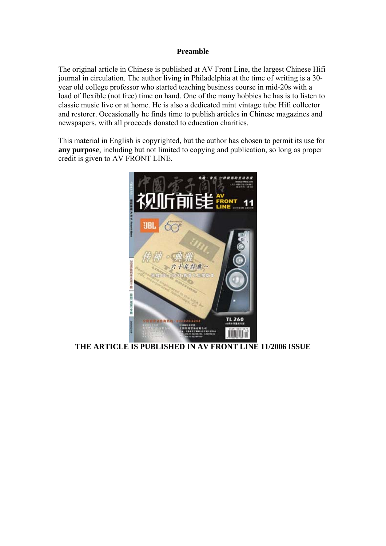## **Preamble**

The original article in Chinese is published at AV Front Line, the largest Chinese Hifi journal in circulation. The author living in Philadelphia at the time of writing is a 30 year old college professor who started teaching business course in mid-20s with a load of flexible (not free) time on hand. One of the many hobbies he has is to listen to classic music live or at home. He is also a dedicated mint vintage tube Hifi collector and restorer. Occasionally he finds time to publish articles in Chinese magazines and newspapers, with all proceeds donated to education charities.

This material in English is copyrighted, but the author has chosen to permit its use for **any purpose**, including but not limited to copying and publication, so long as proper credit is given to AV FRONT LINE.



**THE ARTICLE IS PUBLISHED IN AV FRONT LINE 11/2006 ISSUE**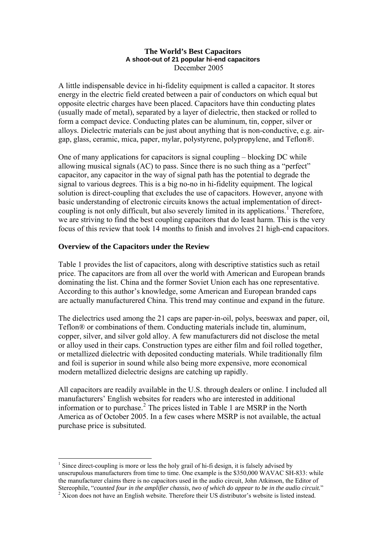#### **The World's Best Capacitors A shoot-out of 21 popular hi-end capacitors**  December 2005

A little indispensable device in hi-fidelity equipment is called a capacitor. It stores energy in the electric field created between a pair of conductors on which equal but opposite electric charges have been placed. Capacitors have thin conducting plates (usually made of metal), separated by a layer of dielectric, then stacked or rolled to form a compact device. Conducting plates can be aluminum, tin, copper, silver or alloys. Dielectric materials can be just about anything that is non-conductive, e.g. airgap, glass, ceramic, mica, paper, mylar, polystyrene, polypropylene, and Teflon®.

One of many applications for capacitors is signal coupling – blocking DC while allowing musical signals (AC) to pass. Since there is no such thing as a "perfect" capacitor, any capacitor in the way of signal path has the potential to degrade the signal to various degrees. This is a big no-no in hi-fidelity equipment. The logical solution is direct-coupling that excludes the use of capacitors. However, anyone with basic understanding of electronic circuits knows the actual implementation of direct-coupling is not only difficult, but also severely limited in its applications.<sup>[1](#page-1-0)</sup> Therefore, we are striving to find the best coupling capacitors that do least harm. This is the very focus of this review that took 14 months to finish and involves 21 high-end capacitors.

# **Overview of the Capacitors under the Review**

Table 1 provides the list of capacitors, along with descriptive statistics such as retail price. The capacitors are from all over the world with American and European brands dominating the list. China and the former Soviet Union each has one representative. According to this author's knowledge, some American and European branded caps are actually manufacturered China. This trend may continue and expand in the future.

The dielectrics used among the 21 caps are paper-in-oil, polys, beeswax and paper, oil, Teflon® or combinations of them. Conducting materials include tin, aluminum, copper, silver, and silver gold alloy. A few manufacturers did not disclose the metal or alloy used in their caps. Construction types are either film and foil rolled together, or metallized dielectric with deposited conducting materials. While traditionally film and foil is superior in sound while also being more expensive, more economical modern metallized dielectric designs are catching up rapidly.

All capacitors are readily available in the U.S. through dealers or online. I included all manufacturers' English websites for readers who are interested in additional information or to purchase.<sup>[2](#page-1-1)</sup> The prices listed in Table 1 are MSRP in the North America as of October 2005. In a few cases where MSRP is not available, the actual purchase price is subsituted.

<sup>&</sup>lt;u>.</u> <sup>1</sup> Since direct-coupling is more or less the holy grail of hi-fi design, it is falsely advised by unscrupulous manufacturers from time to time. One example is the \$350,000 WAVAC SH-833: while the manufacturer claims there is no capacitors used in the audio circuit, John Atkinson, the Editor of Stereophile, "*counted four in the amplifier chassis, two of which do appear to be in the audio circuit.*" 2

<span id="page-1-1"></span><span id="page-1-0"></span><sup>&</sup>lt;sup>2</sup> Xicon does not have an English website. Therefore their US distributor's website is listed instead.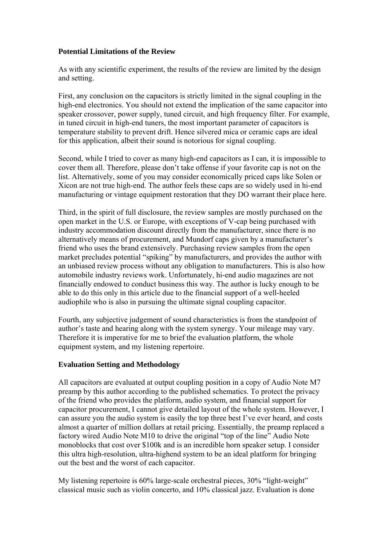## **Potential Limitations of the Review**

As with any scientific experiment, the results of the review are limited by the design and setting.

First, any conclusion on the capacitors is strictly limited in the signal coupling in the high-end electronics. You should not extend the implication of the same capacitor into speaker crossover, power supply, tuned circuit, and high frequency filter. For example, in tuned circuit in high-end tuners, the most important parameter of capacitors is temperature stability to prevent drift. Hence silvered mica or ceramic caps are ideal for this application, albeit their sound is notorious for signal coupling.

Second, while I tried to cover as many high-end capacitors as I can, it is impossible to cover them all. Therefore, please don't take offense if your favorite cap is not on the list. Alternatively, some of you may consider economically priced caps like Solen or Xicon are not true high-end. The author feels these caps are so widely used in hi-end manufacturing or vintage equipment restoration that they DO warrant their place here.

Third, in the spirit of full disclosure, the review samples are mostly purchased on the open market in the U.S. or Europe, with exceptions of V-cap being purchased with industry accommodation discount directly from the manufacturer, since there is no alternatively means of procurement, and Mundorf caps given by a manufacturer's friend who uses the brand extensively. Purchasing review samples from the open market precludes potential "spiking" by manufacturers, and provides the author with an unbiased review process without any obligation to manufacturers. This is also how automobile industry reviews work. Unfortunately, hi-end audio magazines are not financially endowed to conduct business this way. The author is lucky enough to be able to do this only in this article due to the financial support of a well-heeled audiophile who is also in pursuing the ultimate signal coupling capacitor.

Fourth, any subjective judgement of sound characteristics is from the standpoint of author's taste and hearing along with the system synergy. Your mileage may vary. Therefore it is imperative for me to brief the evaluation platform, the whole equipment system, and my listening repertoire.

# **Evaluation Setting and Methodology**

All capacitors are evaluated at output coupling position in a copy of Audio Note M7 preamp by this author according to the published schematics. To protect the privacy of the friend who provides the platform, audio system, and financial support for capacitor procurement, I cannot give detailed layout of the whole system. However, I can assure you the audio system is easily the top three best I've ever heard, and costs almost a quarter of million dollars at retail pricing. Essentially, the preamp replaced a factory wired Audio Note M10 to drive the original "top of the line" Audio Note monoblocks that cost over \$100k and is an incredible horn speaker setup. I consider this ultra high-resolution, ultra-highend system to be an ideal platform for bringing out the best and the worst of each capacitor.

My listening repertoire is 60% large-scale orchestral pieces, 30% "light-weight" classical music such as violin concerto, and 10% classical jazz. Evaluation is done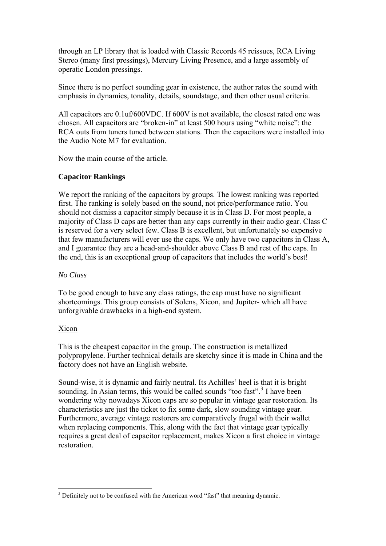<span id="page-3-0"></span>through an LP library that is loaded with Classic Records 45 reissues, RCA Living Stereo (many first pressings), Mercury Living Presence, and a large assembly of operatic London pressings.

Since there is no perfect sounding gear in existence, the author rates the sound with emphasis in dynamics, tonality, details, soundstage, and then other usual criteria.

All capacitors are 0.1uf/600VDC. If 600V is not available, the closest rated one was chosen. All capacitors are "broken-in" at least 500 hours using "white noise": the RCA outs from tuners tuned between stations. Then the capacitors were installed into the Audio Note M7 for evaluation.

Now the main course of the article.

#### **Capacitor Rankings**

We report the ranking of the capacitors by groups. The lowest ranking was reported first. The ranking is solely based on the sound, not price/performance ratio. You should not dismiss a capacitor simply because it is in Class D. For most people, a majority of Class D caps are better than any caps currently in their audio gear. Class C is reserved for a very select few. Class B is excellent, but unfortunately so expensive that few manufacturers will ever use the caps. We only have two capacitors in Class A, and I guarantee they are a head-and-shoulder above Class B and rest of the caps. In the end, this is an exceptional group of capacitors that includes the world's best!

#### *No Class*

To be good enough to have any class ratings, the cap must have no significant shortcomings. This group consists of Solens, Xicon, and Jupiter- which all have unforgivable drawbacks in a high-end system.

# Xicon

1

This is the cheapest capacitor in the group. The construction is metallized polypropylene. Further technical details are sketchy since it is made in China and the factory does not have an English website.

Sound-wise, it is dynamic and fairly neutral. Its Achilles' heel is that it is bright sounding. In Asian terms, this would be called sounds "too fast".<sup>[3](#page-3-0)</sup> I have been wondering why nowadays Xicon caps are so popular in vintage gear restoration. Its characteristics are just the ticket to fix some dark, slow sounding vintage gear. Furthermore, average vintage restorers are comparatively frugal with their wallet when replacing components. This, along with the fact that vintage gear typically requires a great deal of capacitor replacement, makes Xicon a first choice in vintage restoration.

<sup>&</sup>lt;sup>3</sup> Definitely not to be confused with the American word "fast" that meaning dynamic.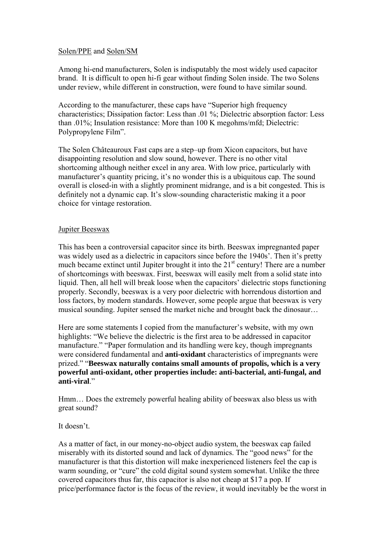### Solen/PPE and Solen/SM

Among hi-end manufacturers, Solen is indisputably the most widely used capacitor brand. It is difficult to open hi-fi gear without finding Solen inside. The two Solens under review, while different in construction, were found to have similar sound.

According to the manufacturer, these caps have "Superior high frequency characteristics; Dissipation factor: Less than .01 %; Dielectric absorption factor: Less than .01%; Insulation resistance: More than 100 K megohms/mfd; Dielectric: Polypropylene Film".

The Solen Châteauroux Fast caps are a step–up from Xicon capacitors, but have disappointing resolution and slow sound, however. There is no other vital shortcoming although neither excel in any area. With low price, particularly with manufacturer's quantity pricing, it's no wonder this is a ubiquitous cap. The sound overall is closed-in with a slightly prominent midrange, and is a bit congested. This is definitely not a dynamic cap. It's slow-sounding characteristic making it a poor choice for vintage restoration.

## Jupiter Beeswax

This has been a controversial capacitor since its birth. Beeswax impregnanted paper was widely used as a dielectric in capacitors since before the 1940s'. Then it's pretty much became extinct until Jupiter brought it into the  $21<sup>st</sup>$  century! There are a number of shortcomings with beeswax. First, beeswax will easily melt from a solid state into liquid. Then, all hell will break loose when the capacitors' dielectric stops functioning properly. Secondly, beeswax is a very poor dielectric with horrendous distortion and loss factors, by modern standards. However, some people argue that beeswax is very musical sounding. Jupiter sensed the market niche and brought back the dinosaur…

Here are some statements I copied from the manufacturer's website, with my own highlights: "We believe the dielectric is the first area to be addressed in capacitor manufacture." "Paper formulation and its handling were key, though impregnants were considered fundamental and **anti-oxidant** characteristics of impregnants were prized." "**Beeswax naturally contains small amounts of propolis, which is a very powerful anti-oxidant, other properties include: anti-bacterial, anti-fungal, and anti-viral**."

Hmm… Does the extremely powerful healing ability of beeswax also bless us with great sound?

#### It doesn't.

As a matter of fact, in our money-no-object audio system, the beeswax cap failed miserably with its distorted sound and lack of dynamics. The "good news" for the manufacturer is that this distortion will make inexperienced listeners feel the cap is warm sounding, or "cure" the cold digital sound system somewhat. Unlike the three covered capacitors thus far, this capacitor is also not cheap at \$17 a pop. If price/performance factor is the focus of the review, it would inevitably be the worst in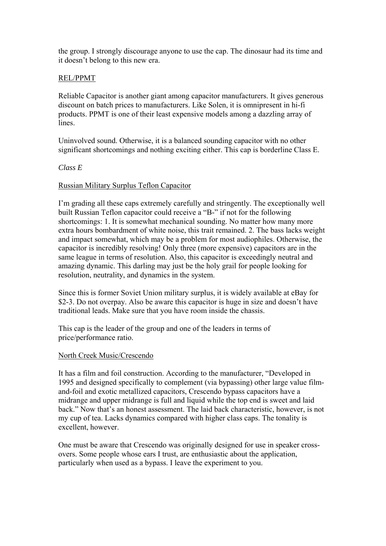the group. I strongly discourage anyone to use the cap. The dinosaur had its time and it doesn't belong to this new era.

## REL/PPMT

Reliable Capacitor is another giant among capacitor manufacturers. It gives generous discount on batch prices to manufacturers. Like Solen, it is omnipresent in hi-fi products. PPMT is one of their least expensive models among a dazzling array of lines.

Uninvolved sound. Otherwise, it is a balanced sounding capacitor with no other significant shortcomings and nothing exciting either. This cap is borderline Class E.

#### *Class E*

#### Russian Military Surplus Teflon Capacitor

I'm grading all these caps extremely carefully and stringently. The exceptionally well built Russian Teflon capacitor could receive a "B-" if not for the following shortcomings: 1. It is somewhat mechanical sounding. No matter how many more extra hours bombardment of white noise, this trait remained. 2. The bass lacks weight and impact somewhat, which may be a problem for most audiophiles. Otherwise, the capacitor is incredibly resolving! Only three (more expensive) capacitors are in the same league in terms of resolution. Also, this capacitor is exceedingly neutral and amazing dynamic. This darling may just be the holy grail for people looking for resolution, neutrality, and dynamics in the system.

Since this is former Soviet Union military surplus, it is widely available at eBay for \$2-3. Do not overpay. Also be aware this capacitor is huge in size and doesn't have traditional leads. Make sure that you have room inside the chassis.

This cap is the leader of the group and one of the leaders in terms of price/performance ratio.

#### North Creek Music/Crescendo

It has a film and foil construction. According to the manufacturer, "Developed in 1995 and designed specifically to complement (via bypassing) other large value filmand-foil and exotic metallized capacitors, Crescendo bypass capacitors have a midrange and upper midrange is full and liquid while the top end is sweet and laid back." Now that's an honest assessment. The laid back characteristic, however, is not my cup of tea. Lacks dynamics compared with higher class caps. The tonality is excellent, however.

One must be aware that Crescendo was originally designed for use in speaker crossovers. Some people whose ears I trust, are enthusiastic about the application, particularly when used as a bypass. I leave the experiment to you.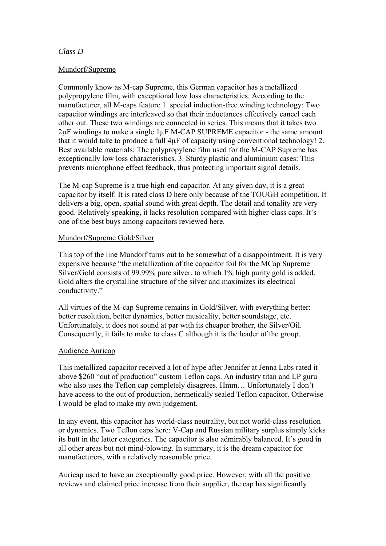## *Class D*

### Mundorf/Supreme

Commonly know as M-cap Supreme, this German capacitor has a metallized polypropylene film, with exceptional low loss characteristics. According to the manufacturer, all M-caps feature 1. special induction-free winding technology: Two capacitor windings are interleaved so that their inductances effectively cancel each other out. These two windings are connected in series. This means that it takes two 2µF windings to make a single 1µF M-CAP SUPREME capacitor - the same amount that it would take to produce a full 4µF of capacity using conventional technology! 2. Best available materials: The polypropylene film used for the M-CAP Supreme has exceptionally low loss characteristics. 3. Sturdy plastic and aluminium cases: This prevents microphone effect feedback, thus protecting important signal details.

The M-cap Supreme is a true high-end capacitor. At any given day, it is a great capacitor by itself. It is rated class D here only because of the TOUGH competition. It delivers a big, open, spatial sound with great depth. The detail and tonality are very good. Relatively speaking, it lacks resolution compared with higher-class caps. It's one of the best buys among capacitors reviewed here.

## Mundorf/Supreme Gold/Silver

This top of the line Mundorf turns out to be somewhat of a disappointment. It is very expensive because "the metallization of the capacitor foil for the MCap Supreme Silver/Gold consists of 99.99% pure silver, to which 1% high purity gold is added. Gold alters the crystalline structure of the silver and maximizes its electrical conductivity."

All virtues of the M-cap Supreme remains in Gold/Silver, with everything better: better resolution, better dynamics, better musicality, better soundstage, etc. Unfortunately, it does not sound at par with its cheaper brother, the Silver/Oil. Consequently, it fails to make to class C although it is the leader of the group.

# Audience Auricap

This metallized capacitor received a lot of hype after Jennifer at Jenna Labs rated it above \$260 "out of production" custom Teflon caps. An industry titan and LP guru who also uses the Teflon cap completely disagrees. Hmm… Unfortunately I don't have access to the out of production, hermetically sealed Teflon capacitor. Otherwise I would be glad to make my own judgement.

In any event, this capacitor has world-class neutrality, but not world-class resolution or dynamics. Two Teflon caps here: V-Cap and Russian military surplus simply kicks its butt in the latter categories. The capacitor is also admirably balanced. It's good in all other areas but not mind-blowing. In summary, it is the dream capacitor for manufacturers, with a relatively reasonable price.

Auricap used to have an exceptionally good price. However, with all the positive reviews and claimed price increase from their supplier, the cap has significantly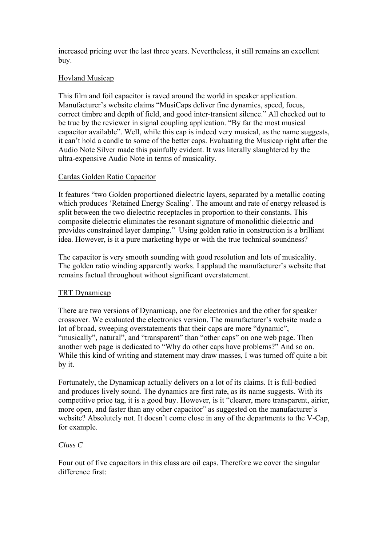increased pricing over the last three years. Nevertheless, it still remains an excellent buy.

# Hovland Musicap

This film and foil capacitor is raved around the world in speaker application. Manufacturer's website claims "MusiCaps deliver fine dynamics, speed, focus, correct timbre and depth of field, and good inter-transient silence." All checked out to be true by the reviewer in signal coupling application. "By far the most musical capacitor available". Well, while this cap is indeed very musical, as the name suggests, it can't hold a candle to some of the better caps. Evaluating the Musicap right after the Audio Note Silver made this painfully evident. It was literally slaughtered by the ultra-expensive Audio Note in terms of musicality.

## Cardas Golden Ratio Capacitor

It features "two Golden proportioned dielectric layers, separated by a metallic coating which produces 'Retained Energy Scaling'. The amount and rate of energy released is split between the two dielectric receptacles in proportion to their constants. This composite dielectric eliminates the resonant signature of monolithic dielectric and provides constrained layer damping." Using golden ratio in construction is a brilliant idea. However, is it a pure marketing hype or with the true technical soundness?

The capacitor is very smooth sounding with good resolution and lots of musicality. The golden ratio winding apparently works. I applaud the manufacturer's website that remains factual throughout without significant overstatement.

# TRT Dynamicap

There are two versions of Dynamicap, one for electronics and the other for speaker crossover. We evaluated the electronics version. The manufacturer's website made a lot of broad, sweeping overstatements that their caps are more "dynamic", "musically", natural", and "transparent" than "other caps" on one web page. Then another web page is dedicated to "Why do other caps have problems?" And so on. While this kind of writing and statement may draw masses, I was turned off quite a bit by it.

Fortunately, the Dynamicap actually delivers on a lot of its claims. It is full-bodied and produces lively sound. The dynamics are first rate, as its name suggests. With its competitive price tag, it is a good buy. However, is it "clearer, more transparent, airier, more open, and faster than any other capacitor" as suggested on the manufacturer's website? Absolutely not. It doesn't come close in any of the departments to the V-Cap, for example.

# *Class C*

Four out of five capacitors in this class are oil caps. Therefore we cover the singular difference first: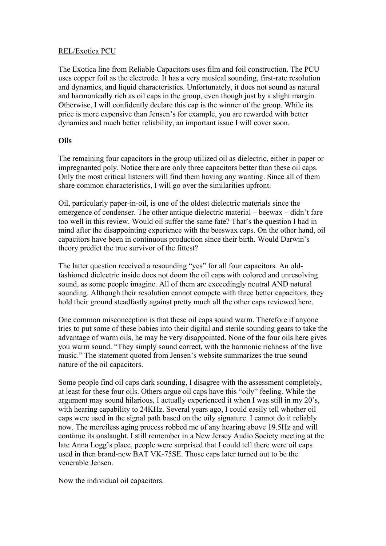## REL/Exotica PCU

The Exotica line from Reliable Capacitors uses film and foil construction. The PCU uses copper foil as the electrode. It has a very musical sounding, first-rate resolution and dynamics, and liquid characteristics. Unfortunately, it does not sound as natural and harmonically rich as oil caps in the group, even though just by a slight margin. Otherwise, I will confidently declare this cap is the winner of the group. While its price is more expensive than Jensen's for example, you are rewarded with better dynamics and much better reliability, an important issue I will cover soon.

# **Oils**

The remaining four capacitors in the group utilized oil as dielectric, either in paper or impregnanted poly. Notice there are only three capacitors better than these oil caps. Only the most critical listeners will find them having any wanting. Since all of them share common characteristics, I will go over the similarities upfront.

Oil, particularly paper-in-oil, is one of the oldest dielectric materials since the emergence of condenser. The other antique dielectric material – beewax – didn't fare too well in this review. Would oil suffer the same fate? That's the question I had in mind after the disappointing experience with the beeswax caps. On the other hand, oil capacitors have been in continuous production since their birth. Would Darwin's theory predict the true survivor of the fittest?

The latter question received a resounding "yes" for all four capacitors. An oldfashioned dielectric inside does not doom the oil caps with colored and unresolving sound, as some people imagine. All of them are exceedingly neutral AND natural sounding. Although their resolution cannot compete with three better capacitors, they hold their ground steadfastly against pretty much all the other caps reviewed here.

One common misconception is that these oil caps sound warm. Therefore if anyone tries to put some of these babies into their digital and sterile sounding gears to take the advantage of warm oils, he may be very disappointed. None of the four oils here gives you warm sound. "They simply sound correct, with the harmonic richness of the live music." The statement quoted from Jensen's website summarizes the true sound nature of the oil capacitors.

Some people find oil caps dark sounding, I disagree with the assessment completely, at least for these four oils. Others argue oil caps have this "oily" feeling. While the argument may sound hilarious, I actually experienced it when I was still in my 20's, with hearing capability to 24KHz. Several years ago, I could easily tell whether oil caps were used in the signal path based on the oily signature. I cannot do it reliably now. The merciless aging process robbed me of any hearing above 19.5Hz and will continue its onslaught. I still remember in a New Jersey Audio Society meeting at the late Anna Logg's place, people were surprised that I could tell there were oil caps used in then brand-new BAT VK-75SE. Those caps later turned out to be the venerable Jensen.

Now the individual oil capacitors.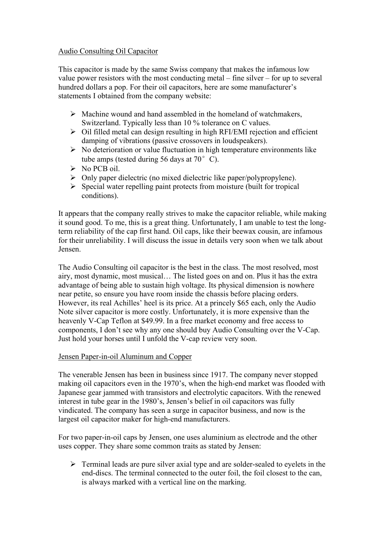# Audio Consulting Oil Capacitor

This capacitor is made by the same Swiss company that makes the infamous low value power resistors with the most conducting metal – fine silver – for up to several hundred dollars a pop. For their oil capacitors, here are some manufacturer's statements I obtained from the company website:

- $\triangleright$  Machine wound and hand assembled in the homeland of watchmakers, Switzerland. Typically less than 10 % tolerance on C values.
- $\geq$  Oil filled metal can design resulting in high RFI/EMI rejection and efficient damping of vibrations (passive crossovers in loudspeakers).
- $\triangleright$  No deterioration or value fluctuation in high temperature environments like tube amps (tested during 56 days at  $70^{\circ}$  C).
- $\triangleright$  No PCB oil.
- $\triangleright$  Only paper dielectric (no mixed dielectric like paper/polypropylene).
- $\triangleright$  Special water repelling paint protects from moisture (built for tropical conditions).

It appears that the company really strives to make the capacitor reliable, while making it sound good. To me, this is a great thing. Unfortunately, I am unable to test the longterm reliability of the cap first hand. Oil caps, like their beewax cousin, are infamous for their unreliability. I will discuss the issue in details very soon when we talk about Jensen.

The Audio Consulting oil capacitor is the best in the class. The most resolved, most airy, most dynamic, most musical… The listed goes on and on. Plus it has the extra advantage of being able to sustain high voltage. Its physical dimension is nowhere near petite, so ensure you have room inside the chassis before placing orders. However, its real Achilles' heel is its price. At a princely \$65 each, only the Audio Note silver capacitor is more costly. Unfortunately, it is more expensive than the heavenly V-Cap Teflon at \$49.99. In a free market economy and free access to components, I don't see why any one should buy Audio Consulting over the V-Cap. Just hold your horses until I unfold the V-cap review very soon.

#### Jensen Paper-in-oil Aluminum and Copper

The venerable Jensen has been in business since 1917. The company never stopped making oil capacitors even in the 1970's, when the high-end market was flooded with Japanese gear jammed with transistors and electrolytic capacitors. With the renewed interest in tube gear in the 1980's, Jensen's belief in oil capacitors was fully vindicated. The company has seen a surge in capacitor business, and now is the largest oil capacitor maker for high-end manufacturers.

For two paper-in-oil caps by Jensen, one uses aluminium as electrode and the other uses copper. They share some common traits as stated by Jensen:

 $\triangleright$  Terminal leads are pure silver axial type and are solder-sealed to eyelets in the end-discs. The terminal connected to the outer foil, the foil closest to the can, is always marked with a vertical line on the marking.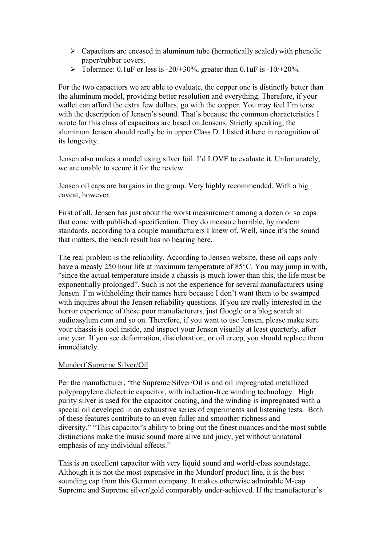- $\triangleright$  Capacitors are encased in aluminum tube (hermetically sealed) with phenolic paper/rubber covers.
- $\triangleright$  Tolerance: 0.1uF or less is -20/+30%, greater than 0.1uF is -10/+20%.

For the two capacitors we are able to evaluate, the copper one is distinctly better than the aluminum model, providing better resolution and everything. Therefore, if your wallet can afford the extra few dollars, go with the copper. You may feel I'm terse with the description of Jensen's sound. That's because the common characteristics I wrote for this class of capacitors are based on Jensens. Strictly speaking, the aluminum Jensen should really be in upper Class D. I listed it here in recognition of its longevity.

Jensen also makes a model using silver foil. I'd LOVE to evaluate it. Unfortunately, we are unable to secure it for the review.

Jensen oil caps are bargains in the group. Very highly recommended. With a big caveat, however.

First of all, Jensen has just about the worst measurement among a dozen or so caps that come with published specification. They do measure horrible, by modern standards, according to a couple manufacturers I knew of. Well, since it's the sound that matters, the bench result has no bearing here.

The real problem is the reliability. According to Jensen website, these oil caps only have a measly 250 hour life at maximum temperature of 85 °C. You may jump in with, "since the actual temperature inside a chassis is much lower than this, the life must be exponentially prolonged". Such is not the experience for several manufacturers using Jensen. I'm withholding their names here because I don't want them to be swamped with inquires about the Jensen reliability questions. If you are really interested in the horror experience of these poor manufacturers, just Google or a blog search at audioasylum.com and so on. Therefore, if you want to use Jensen, please make sure your chassis is cool inside, and inspect your Jensen visually at least quarterly, after one year. If you see deformation, discoloration, or oil creep, you should replace them immediately.

#### Mundorf Supreme Silver/Oil

Per the manufacturer, "the Supreme Silver/Oil is and oil impregnated metallized polypropylene dielectric capacitor, with induction-free winding technology. High purity silver is used for the capacitor coating, and the winding is impregnated with a special oil developed in an exhaustive series of experiments and listening tests. Both of these features contribute to an even fuller and smoother richness and diversity." "This capacitor's ability to bring out the finest nuances and the most subtle distinctions make the music sound more alive and juicy, yet without unnatural emphasis of any individual effects."

This is an excellent capacitor with very liquid sound and world-class soundstage. Although it is not the most expensive in the Mundorf product line, it is the best sounding cap from this German company. It makes otherwise admirable M-cap Supreme and Supreme silver/gold comparably under-achieved. If the manufacturer's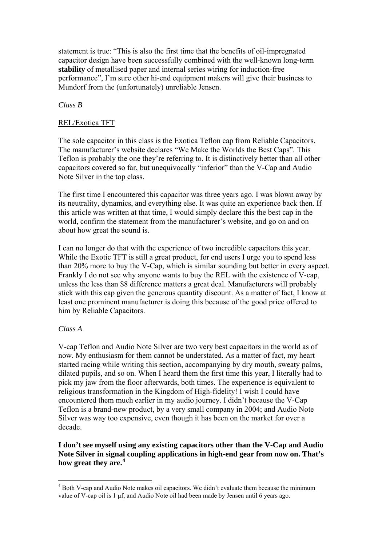<span id="page-11-0"></span>statement is true: "This is also the first time that the benefits of oil-impregnated capacitor design have been successfully combined with the well-known long-term **stability** of metallised paper and internal series wiring for induction-free performance", I'm sure other hi-end equipment makers will give their business to Mundorf from the (unfortunately) unreliable Jensen.

## *Class B*

### REL/Exotica TFT

The sole capacitor in this class is the Exotica Teflon cap from Reliable Capacitors. The manufacturer's website declares "We Make the Worlds the Best Caps". This Teflon is probably the one they're referring to. It is distinctively better than all other capacitors covered so far, but unequivocally "inferior" than the V-Cap and Audio Note Silver in the top class.

The first time I encountered this capacitor was three years ago. I was blown away by its neutrality, dynamics, and everything else. It was quite an experience back then. If this article was written at that time, I would simply declare this the best cap in the world, confirm the statement from the manufacturer's website, and go on and on about how great the sound is.

I can no longer do that with the experience of two incredible capacitors this year. While the Exotic TFT is still a great product, for end users I urge you to spend less than 20% more to buy the V-Cap, which is similar sounding but better in every aspect. Frankly I do not see why anyone wants to buy the REL with the existence of V-cap, unless the less than \$8 difference matters a great deal. Manufacturers will probably stick with this cap given the generous quantity discount. As a matter of fact, I know at least one prominent manufacturer is doing this because of the good price offered to him by Reliable Capacitors.

# *Class A*

V-cap Teflon and Audio Note Silver are two very best capacitors in the world as of now. My enthusiasm for them cannot be understated. As a matter of fact, my heart started racing while writing this section, accompanying by dry mouth, sweaty palms, dilated pupils, and so on. When I heard them the first time this year, I literally had to pick my jaw from the floor afterwards, both times. The experience is equivalent to religious transformation in the Kingdom of High-fidelity! I wish I could have encountered them much earlier in my audio journey. I didn't because the V-Cap Teflon is a brand-new product, by a very small company in 2004; and Audio Note Silver was way too expensive, even though it has been on the market for over a decade.

# **I don't see myself using any existing capacitors other than the V-Cap and Audio Note Silver in signal coupling applications in high-end gear from now on. That's how great they are.[4](#page-11-0)**

<sup>&</sup>lt;u>.</u>  $4$  Both V-cap and Audio Note makes oil capacitors. We didn't evaluate them because the minimum value of V-cap oil is 1 μf, and Audio Note oil had been made by Jensen until 6 years ago.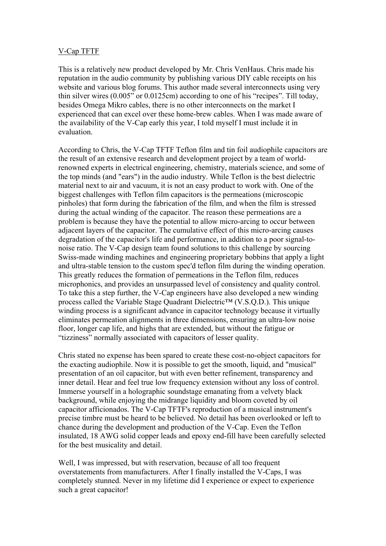# V-Cap TFTF

This is a relatively new product developed by Mr. Chris VenHaus. Chris made his reputation in the audio community by publishing various DIY cable receipts on his website and various blog forums. This author made several interconnects using very thin silver wires (0.005" or 0.0125cm) according to one of his "recipes". Till today, besides Omega Mikro cables, there is no other interconnects on the market I experienced that can excel over these home-brew cables. When I was made aware of the availability of the V-Cap early this year, I told myself I must include it in evaluation.

According to Chris, the V-Cap TFTF Teflon film and tin foil audiophile capacitors are the result of an extensive research and development project by a team of worldrenowned experts in electrical engineering, chemistry, materials science, and some of the top minds (and "ears") in the audio industry. While Teflon is the best dielectric material next to air and vacuum, it is not an easy product to work with. One of the biggest challenges with Teflon film capacitors is the permeations (microscopic pinholes) that form during the fabrication of the film, and when the film is stressed during the actual winding of the capacitor. The reason these permeations are a problem is because they have the potential to allow micro-arcing to occur between adjacent layers of the capacitor. The cumulative effect of this micro-arcing causes degradation of the capacitor's life and performance, in addition to a poor signal-tonoise ratio. The V-Cap design team found solutions to this challenge by sourcing Swiss-made winding machines and engineering proprietary bobbins that apply a light and ultra-stable tension to the custom spec'd teflon film during the winding operation. This greatly reduces the formation of permeations in the Teflon film, reduces microphonics, and provides an unsurpassed level of consistency and quality control. To take this a step further, the V-Cap engineers have also developed a new winding process called the Variable Stage Quadrant Dielectric™ (V.S.Q.D.). This unique winding process is a significant advance in capacitor technology because it virtually eliminates permeation alignments in three dimensions, ensuring an ultra-low noise floor, longer cap life, and highs that are extended, but without the fatigue or "tizziness" normally associated with capacitors of lesser quality.

Chris stated no expense has been spared to create these cost-no-object capacitors for the exacting audiophile. Now it is possible to get the smooth, liquid, and "musical" presentation of an oil capacitor, but with even better refinement, transparency and inner detail. Hear and feel true low frequency extension without any loss of control. Immerse yourself in a holographic soundstage emanating from a velvety black background, while enjoying the midrange liquidity and bloom coveted by oil capacitor afficionados. The V-Cap TFTF's reproduction of a musical instrument's precise timbre must be heard to be believed. No detail has been overlooked or left to chance during the development and production of the V-Cap. Even the Teflon insulated, 18 AWG solid copper leads and epoxy end-fill have been carefully selected for the best musicality and detail.

Well, I was impressed, but with reservation, because of all too frequent overstatements from manufacturers. After I finally installed the V-Caps, I was completely stunned. Never in my lifetime did I experience or expect to experience such a great capacitor!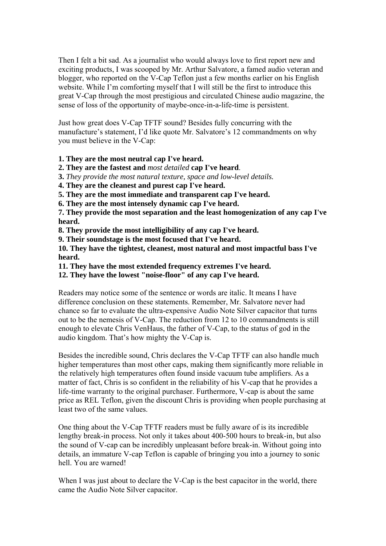Then I felt a bit sad. As a journalist who would always love to first report new and exciting products, I was scooped by Mr. Arthur Salvatore, a famed audio veteran and blogger, who reported on the V-Cap Teflon just a few months earlier on his English website. While I'm comforting myself that I will still be the first to introduce this great V-Cap through the most prestigious and circulated Chinese audio magazine, the sense of loss of the opportunity of maybe-once-in-a-life-time is persistent.

Just how great does V-Cap TFTF sound? Besides fully concurring with the manufacture's statement, I'd like quote Mr. Salvatore's 12 commandments on why you must believe in the V-Cap:

**1. They are the most neutral cap I've heard.** 

**2. They are the fastest and** *most detailed* **cap I've heard**.

**3.** *They provide the most natural texture, space and low-level details.* 

**4. They are the cleanest and purest cap I've heard.** 

**5. They are the most immediate and transparent cap I've heard.** 

**6. They are the most intensely dynamic cap I've heard.** 

**7. They provide the most separation and the least homogenization of any cap I've heard.** 

**8. They provide the most intelligibility of any cap I've heard.** 

**9. Their soundstage is the most focused that I've heard.**

**10. They have the tightest, cleanest, most natural and most impactful bass I've heard.**

**11. They have the most extended frequency extremes I've heard.** 

**12. They have the lowest "noise-floor" of any cap I've heard.**

Readers may notice some of the sentence or words are italic. It means I have difference conclusion on these statements. Remember, Mr. Salvatore never had chance so far to evaluate the ultra-expensive Audio Note Silver capacitor that turns out to be the nemesis of V-Cap. The reduction from 12 to 10 commandments is still enough to elevate Chris VenHaus, the father of V-Cap, to the status of god in the audio kingdom. That's how mighty the V-Cap is.

Besides the incredible sound, Chris declares the V-Cap TFTF can also handle much higher temperatures than most other caps, making them significantly more reliable in the relatively high temperatures often found inside vacuum tube amplifiers. As a matter of fact, Chris is so confident in the reliability of his V-cap that he provides a life-time warranty to the original purchaser. Furthermore, V-cap is about the same price as REL Teflon, given the discount Chris is providing when people purchasing at least two of the same values.

One thing about the V-Cap TFTF readers must be fully aware of is its incredible lengthy break-in process. Not only it takes about 400-500 hours to break-in, but also the sound of V-cap can be incredibly unpleasant before break-in. Without going into details, an immature V-cap Teflon is capable of bringing you into a journey to sonic hell. You are warned!

When I was just about to declare the V-Cap is the best capacitor in the world, there came the Audio Note Silver capacitor.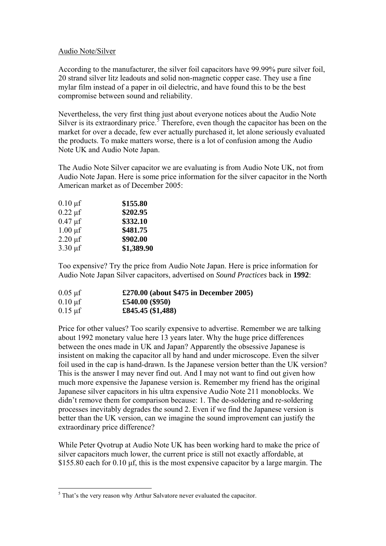### <span id="page-14-0"></span>Audio Note/Silver

According to the manufacturer, the silver foil capacitors have 99.99% pure silver foil, 20 strand silver litz leadouts and solid non-magnetic copper case. They use a fine mylar film instead of a paper in oil dielectric, and have found this to be the best compromise between sound and reliability.

Nevertheless, the very first thing just about everyone notices about the Audio Note Silver is its extraordinary price.<sup>3</sup> Therefore, even though the capacitor has been on the market for over a decade, few ever actually purchased it, let alone seriously evaluated the products. To make matters worse, there is a lot of confusion among the Audio Note UK and Audio Note Japan.

The Audio Note Silver capacitor we are evaluating is from Audio Note UK, not from Audio Note Japan. Here is some price information for the silver capacitor in the North American market as of December 2005:

| $0.10 \,\mathrm{\mu f}$   | \$155.80   |
|---------------------------|------------|
| $0.22 \mu f$              | \$202.95   |
| $0.47 \,\mathrm{\mu f}$   | \$332.10   |
| $1.00 \mu f$              | \$481.75   |
| $2.20 \,\mathrm{\mu f}$   | \$902.00   |
| $3.30 \,\mathrm{\upmu f}$ | \$1,389.90 |
|                           |            |

Too expensive? Try the price from Audio Note Japan. Here is price information for Audio Note Japan Silver capacitors, advertised on *Sound Practices* back in **1992**:

| $0.05 \mu f$         | £270.00 (about \$475 in December 2005) |
|----------------------|----------------------------------------|
| $0.10 \text{ µf}$    | £540.00 $(\$950)$                      |
| $0.15 \,\mathrm{µf}$ | £845.45 $($ \$1,488)                   |

Price for other values? Too scarily expensive to advertise. Remember we are talking about 1992 monetary value here 13 years later. Why the huge price differences between the ones made in UK and Japan? Apparently the obsessive Japanese is insistent on making the capacitor all by hand and under microscope. Even the silver foil used in the cap is hand-drawn. Is the Japanese version better than the UK version? This is the answer I may never find out. And I may not want to find out given how much more expensive the Japanese version is. Remember my friend has the original Japanese silver capacitors in his ultra expensive Audio Note 211 monoblocks. We didn't remove them for comparison because: 1. The de-soldering and re-soldering processes inevitably degrades the sound 2. Even if we find the Japanese version is better than the UK version, can we imagine the sound improvement can justify the extraordinary price difference?

While Peter Qvotrup at Audio Note UK has been working hard to make the price of silver capacitors much lower, the current price is still not exactly affordable, at \$155.80 each for 0.10 μf, this is the most expensive capacitor by a large margin. The

<sup>&</sup>lt;sup>5</sup> That's the very reason why Arthur Salvatore never evaluated the capacitor.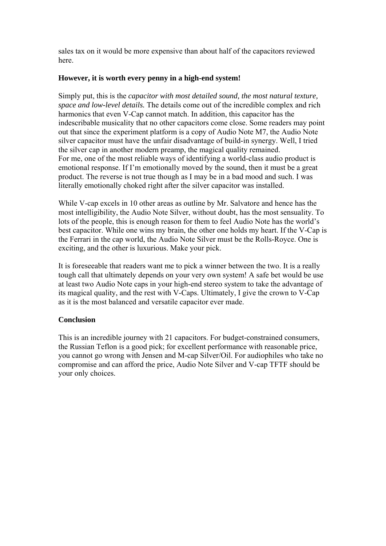sales tax on it would be more expensive than about half of the capacitors reviewed here.

## **However, it is worth every penny in a high-end system!**

Simply put, this is the *capacitor with most detailed sound, the most natural texture, space and low-level details.* The details come out of the incredible complex and rich harmonics that even V-Cap cannot match. In addition, this capacitor has the indescribable musicality that no other capacitors come close. Some readers may point out that since the experiment platform is a copy of Audio Note M7, the Audio Note silver capacitor must have the unfair disadvantage of build-in synergy. Well, I tried the silver cap in another modern preamp, the magical quality remained. For me, one of the most reliable ways of identifying a world-class audio product is emotional response. If I'm emotionally moved by the sound, then it must be a great product. The reverse is not true though as I may be in a bad mood and such. I was literally emotionally choked right after the silver capacitor was installed.

While V-cap excels in 10 other areas as outline by Mr. Salvatore and hence has the most intelligibility, the Audio Note Silver, without doubt, has the most sensuality. To lots of the people, this is enough reason for them to feel Audio Note has the world's best capacitor. While one wins my brain, the other one holds my heart. If the V-Cap is the Ferrari in the cap world, the Audio Note Silver must be the Rolls-Royce. One is exciting, and the other is luxurious. Make your pick.

It is foreseeable that readers want me to pick a winner between the two. It is a really tough call that ultimately depends on your very own system! A safe bet would be use at least two Audio Note caps in your high-end stereo system to take the advantage of its magical quality, and the rest with V-Caps. Ultimately, I give the crown to V-Cap as it is the most balanced and versatile capacitor ever made.

# **Conclusion**

This is an incredible journey with 21 capacitors. For budget-constrained consumers, the Russian Teflon is a good pick; for excellent performance with reasonable price, you cannot go wrong with Jensen and M-cap Silver/Oil. For audiophiles who take no compromise and can afford the price, Audio Note Silver and V-cap TFTF should be your only choices.